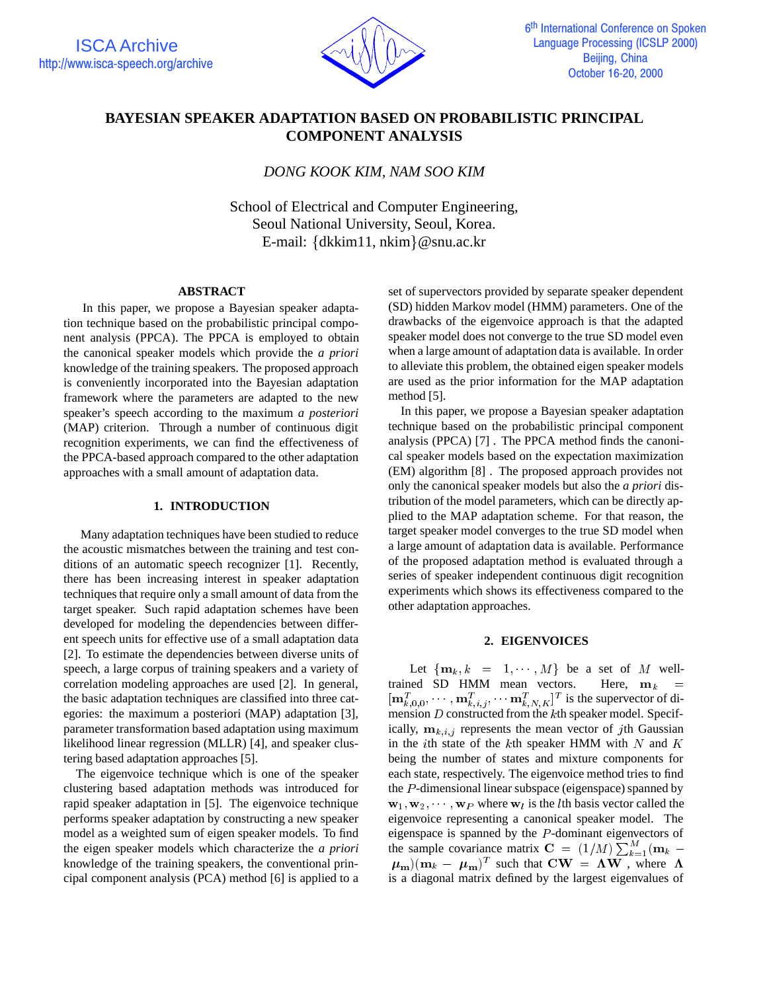

# **BAYESIAN SPEAKER ADAPTATION BASED ON PROBABILISTIC PRINCIPAL COMPONENT ANALYSIS**

*DONG KOOK KIM, NAM SOO KIM*

School of Electrical and Computer Engineering, Seoul National University, Seoul, Korea. E-mail:  $\{dkkim11, nkim\}$  @snu.ac.kr

## **ABSTRACT**

In this paper, we propose a Bayesian speaker adaptation technique based on the probabilistic principal component analysis (PPCA). The PPCA is employed to obtain the canonical speaker models which provide the *a priori* knowledge of the training speakers. The proposed approach is conveniently incorporated into the Bayesian adaptation framework where the parameters are adapted to the new speaker's speech according to the maximum *a posteriori* (MAP) criterion. Through a number of continuous digit recognition experiments, we can find the effectiveness of the PPCA-based approach compared to the other adaptation approaches with a small amount of adaptation data.

### **1. INTRODUCTION**

Many adaptation techniques have been studied to reduce the acoustic mismatches between the training and test conditions of an automatic speech recognizer [1]. Recently, there has been increasing interest in speaker adaptation techniques that require only a small amount of data from the target speaker. Such rapid adaptation schemes have been developed for modeling the dependencies between different speech units for effective use of a small adaptation data [2]. To estimate the dependencies between diverse units of speech, a large corpus of training speakers and a variety of correlation modeling approaches are used [2]. In general, the basic adaptation techniques are classified into three categories: the maximum a posteriori (MAP) adaptation [3], parameter transformation based adaptation using maximum likelihood linear regression (MLLR) [4], and speaker clustering based adaptation approaches [5].

The eigenvoice technique which is one of the speaker clustering based adaptation methods was introduced for rapid speaker adaptation in [5]. The eigenvoice technique performs speaker adaptation by constructing a new speaker model as a weighted sum of eigen speaker models. To find the eigen speaker models which characterize the *a priori* knowledge of the training speakers, the conventional principal component analysis (PCA) method [6] is applied to a set of supervectors provided by separate speaker dependent (SD) hidden Markov model (HMM) parameters. One of the drawbacks of the eigenvoice approach is that the adapted speaker model does not converge to the true SD model even when a large amount of adaptation data is available. In order to alleviate this problem, the obtained eigen speaker models are used as the prior information for the MAP adaptation method [5].

In this paper, we propose a Bayesian speaker adaptation technique based on the probabilistic principal component analysis (PPCA) [7] . The PPCA method finds the canonical speaker models based on the expectation maximization (EM) algorithm [8] . The proposed approach provides not only the canonical speaker models but also the *a priori* distribution of the model parameters, which can be directly applied to the MAP adaptation scheme. For that reason, the target speaker model converges to the true SD model when a large amount of adaptation data is available. Performance of the proposed adaptation method is evaluated through a series of speaker independent continuous digit recognition experiments which shows its effectiveness compared to the other adaptation approaches.

#### **2. EIGENVOICES**

Let  $\{m_k, k = 1, \cdots, M\}$  be a set of M welltrained SD HMM mean vectors. Here,  $m_k$  $[\mathbf{m}_{k,0,0}^T, \cdots, \mathbf{m}_{k,i,j}^T, \cdots, \mathbf{m}_{k,N,K}^T]^T$  is the supervector of dimension D constructed from the kth speaker model. Specifically,  $\mathbf{m}_{k,i,j}$  represents the mean vector of jth Gaussian in the *i*th state of the  $k$ th speaker HMM with  $N$  and  $K$ being the number of states and mixture components for each state, respectively. The eigenvoice method tries to find the P -dimensional linear subspace (eigenspace) spanned by  $\mathbf{w}_1, \mathbf{w}_2, \dots, \mathbf{w}_P$  where  $\mathbf{w}_l$  is the *l*th basis vector called the eigenvoice representing a canonical speaker model. The eigenspace is spanned by the  $P$ -dominant eigenvectors of the sample covariance matrix  $C = (1/M) \sum_{k=1}^{M} (m_k (\mu_{\bf m})({\bf m}_k - \mu_{\bf m})^T$  such that  ${\bf CW} = {\bf \Lambda} {\bf W}$ , where  ${\bf \Lambda}$ is a diagonal matrix defined by the largest eigenvalues of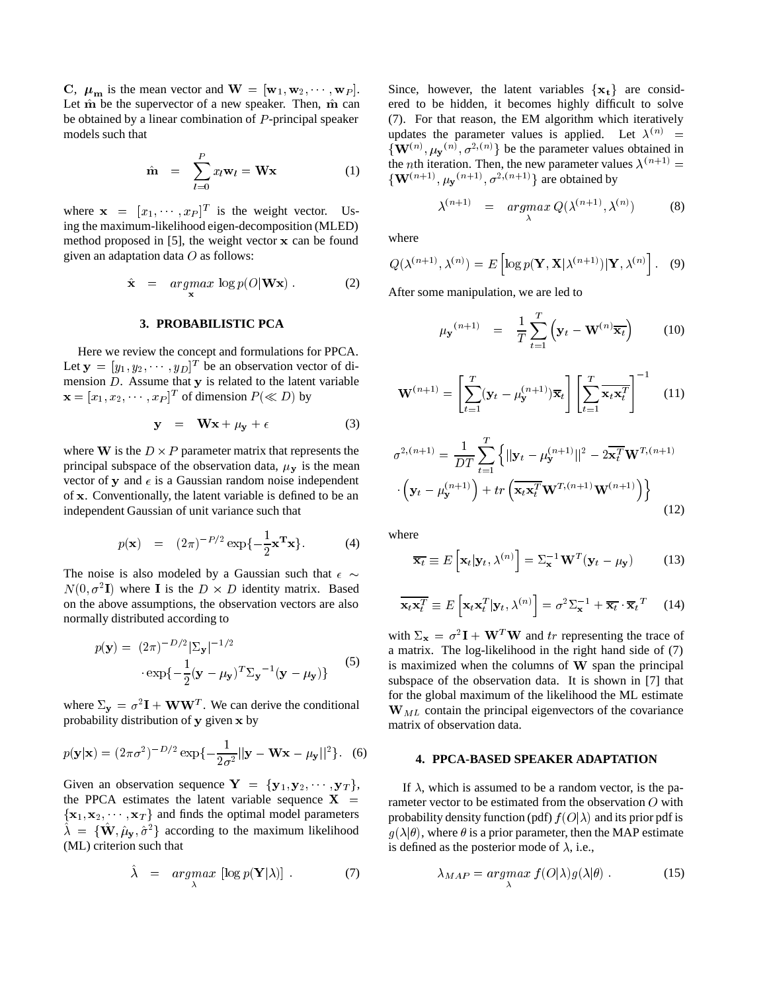C,  $\mu_{\mathbf{m}}$  is the mean vector and  $\mathbf{W} = [\mathbf{w}_1, \mathbf{w}_2, \cdots, \mathbf{w}_P].$ Let  $\hat{\mathbf{m}}$  be the supervector of a new speaker. Then,  $\hat{\mathbf{m}}$  can be obtained by a linear combination of  $P$ -principal speaker models such that

$$
\hat{\mathbf{m}} = \sum_{l=0}^{P} x_l \mathbf{w}_l = \mathbf{W} \mathbf{x}
$$
 (1)

where  $\mathbf{x} = [x_1, \dots, x_P]^T$  is the weight vector. Using the maximum-likelihood eigen-decomposition (MLED) method proposed in [5], the weight vector <sup>x</sup> can be found given an adaptation data  $O$  as follows:

$$
\hat{\mathbf{x}} = \underset{\mathbf{x}}{argmax} \log p(O|\mathbf{W}\mathbf{x}) . \tag{2}
$$

#### **3. PROBABILISTIC PCA**

Here we review the concept and formulations for PPCA. Let  $y = [y_1, y_2, \dots, y_D]^T$  be an observation vector of dimension  $D$ . Assume that  $y$  is related to the latent variable  $\mathbf{x} = [x_1, x_2, \dots, x_P]^T$  of dimension  $P(\ll D)$  by

$$
y = Wx + \mu_y + \epsilon \tag{3}
$$

where **W** is the  $D \times P$  parameter matrix that represents the principal subspace of the observation data,  $\mu_y$  is the mean vector of y and  $\epsilon$  is a Gaussian random noise independent of <sup>x</sup>. Conventionally, the latent variable is defined to be an independent Gaussian of unit variance such that

$$
p(\mathbf{x}) = (2\pi)^{-P/2} \exp\{-\frac{1}{2}\mathbf{x}^T\mathbf{x}\}.
$$
 (4)

The noise is also modeled by a Gaussian such that  $\epsilon \sim$  $N(0, \sigma^2 I)$  where I is the  $D \times D$  identity matrix. Based on the above assumptions, the observation vectors are also normally distributed according to

$$
p(\mathbf{y}) = (2\pi)^{-D/2} |\Sigma_{\mathbf{y}}|^{-1/2}
$$

$$
\cdot \exp\{-\frac{1}{2}(\mathbf{y} - \mu_{\mathbf{y}})^{T} \Sigma_{\mathbf{y}}^{-1} (\mathbf{y} - \mu_{\mathbf{y}})\}\
$$
(5)

where  $\Sigma_{\mathbf{y}} = \sigma^2 \mathbf{I} + \mathbf{W} \mathbf{W}^T$ . We can derive the conditional probability distribution of <sup>y</sup> given <sup>x</sup> by

$$
p(\mathbf{y}|\mathbf{x}) = (2\pi\sigma^2)^{-D/2} \exp\{-\frac{1}{2\sigma^2}||\mathbf{y} - \mathbf{W}\mathbf{x} - \mu_{\mathbf{y}}||^2\}.
$$
 (6)

Given an observation sequence  $Y = \{y_1, y_2, \dots, y_T\},\$ the PPCA estimates the latent variable sequence  $X =$  ${x_1, x_2, \dots, x_T}$  and finds the optimal model parameters  $\lambda = \{W, \hat{\mu}_y, \hat{\sigma}^2\}$  according to the maximum likelihood (ML) criterion such that

$$
\hat{\lambda} = \underset{\lambda}{argmax} [\log p(\mathbf{Y}|\lambda)]. \tag{7}
$$

Since, however, the latent variables  $\{x_t\}$  are considered to be hidden, it becomes highly difficult to solve (7). For that reason, the EM algorithm which iteratively updates the parameter values is applied. Let  $\lambda^{(n)}$  =  $\{W^{(n)}, \mu_{y}^{(n)}, \sigma^{2,(n)}\}$  be the parameter values obtained in the *n*th iteration. Then, the new parameter values  $\lambda^{(n+1)}$  =  $\{ \mathbf{W}^{(n+1)}, \mu_{\mathbf{y}}^{(n+1)}, \sigma^{2,(n+1)} \}$  are obtained by

$$
\lambda^{(n+1)} = \underset{\lambda}{argmax} Q(\lambda^{(n+1)}, \lambda^{(n)}) \tag{8}
$$

where

$$
Q(\lambda^{(n+1)},\lambda^{(n)}) = E\left[\log p(\mathbf{Y}, \mathbf{X}|\lambda^{(n+1)})|\mathbf{Y},\lambda^{(n)}\right].
$$
 (9)

After some manipulation, we are led to

$$
\mu_{\mathbf{y}}^{(n+1)} = \frac{1}{T} \sum_{t=1}^{T} \left( \mathbf{y}_t - \mathbf{W}^{(n)} \overline{\mathbf{x}_t} \right) \qquad (10)
$$

$$
\mathbf{W}^{(n+1)} = \left[\sum_{t=1}^{T} (\mathbf{y}_t - \mu_{\mathbf{y}}^{(n+1)}) \overline{\mathbf{x}}_t \right] \left[\sum_{t=1}^{T} \overline{\mathbf{x}_t \mathbf{x}_t^T}\right]^{-1} \quad (11)
$$

$$
\sigma^{2,(n+1)} = \frac{1}{DT} \sum_{t=1}^{T} \left\{ ||\mathbf{y}_t - \mu_{\mathbf{y}}^{(n+1)}||^2 - 2 \overline{\mathbf{x}_t^T} \mathbf{W}^{T,(n+1)} \right. \\ \left. \cdot \left( \mathbf{y}_t - \mu_{\mathbf{y}}^{(n+1)} \right) + tr \left( \overline{\mathbf{x}_t \mathbf{x}_t^T} \mathbf{W}^{T,(n+1)} \mathbf{W}^{(n+1)} \right) \right\} \tag{12}
$$

where

$$
\overline{\mathbf{x}_t} \equiv E\left[\mathbf{x}_t|\mathbf{y}_t, \lambda^{(n)}\right] = \Sigma_{\mathbf{x}}^{-1} \mathbf{W}^T (\mathbf{y}_t - \mu_{\mathbf{y}})
$$
(13)

$$
\overline{\mathbf{x}_t \mathbf{x}_t^T} \equiv E\left[\mathbf{x}_t \mathbf{x}_t^T | \mathbf{y}_t, \lambda^{(n)}\right] = \sigma^2 \Sigma_{\mathbf{x}}^{-1} + \overline{\mathbf{x}_t} \cdot \overline{\mathbf{x}}_t^T \quad (14)
$$

with  $\Sigma_x = \sigma^2 I + \mathbf{W}^T \mathbf{W}$  and tr representing the trace of a matrix. The log-likelihood in the right hand side of (7) is maximized when the columns of  $W$  span the principal subspace of the observation data. It is shown in [7] that for the global maximum of the likelihood the ML estimate  $W_{ML}$  contain the principal eigenvectors of the covariance matrix of observation data.

#### **4. PPCA-BASED SPEAKER ADAPTATION**

If  $\lambda$ , which is assumed to be a random vector, is the parameter vector to be estimated from the observation O with probability density function (pdf)  $f(O|\lambda)$  and its prior pdf is  $q(\lambda|\theta)$ , where  $\theta$  is a prior parameter, then the MAP estimate is defined as the posterior mode of  $\lambda$ , i.e.,

$$
\lambda_{MAP} = argmax_{\lambda} f(O|\lambda)g(\lambda|\theta).
$$
 (15)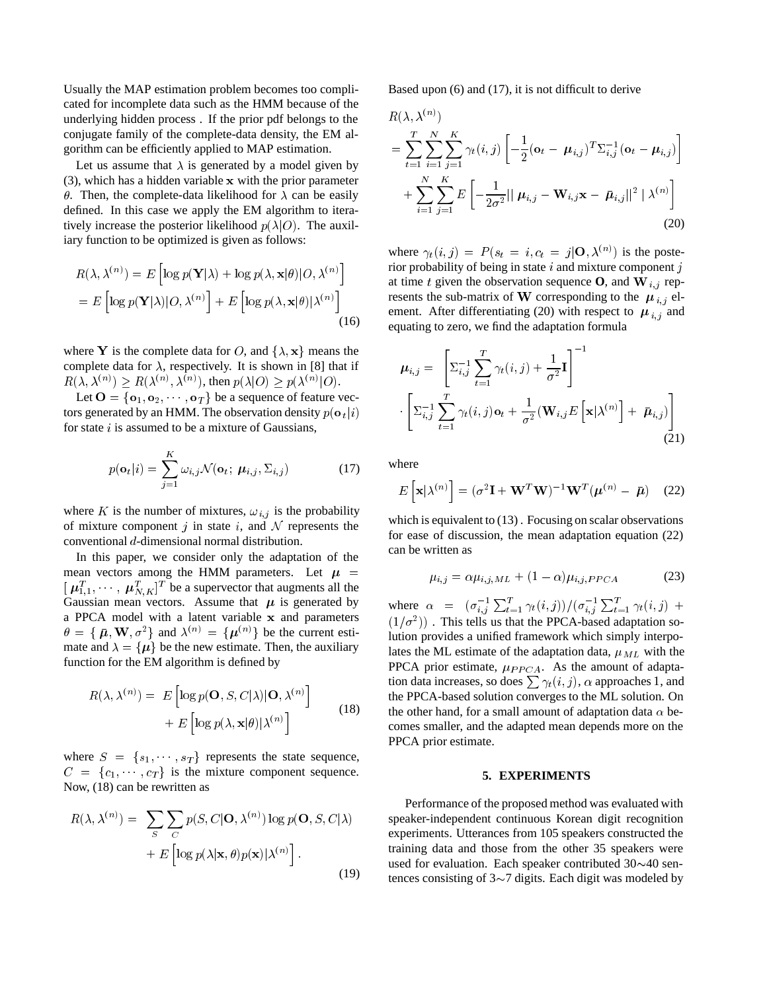Usually the MAP estimation problem becomes too complicated for incomplete data such as the HMM because of the underlying hidden process . If the prior pdf belongs to the conjugate family of the complete-data density, the EM algorithm can be efficiently applied to MAP estimation.

Let us assume that  $\lambda$  is generated by a model given by (3), which has a hidden variable <sup>x</sup> with the prior parameter  $\theta$ . Then, the complete-data likelihood for  $\lambda$  can be easily defined. In this case we apply the EM algorithm to iteratively increase the posterior likelihood  $p(\lambda|O)$ . The auxiliary function to be optimized is given as follows:

$$
R(\lambda, \lambda^{(n)}) = E\left[\log p(\mathbf{Y}|\lambda) + \log p(\lambda, \mathbf{x}|\theta)|O, \lambda^{(n)}\right]
$$

$$
= E\left[\log p(\mathbf{Y}|\lambda)|O, \lambda^{(n)}\right] + E\left[\log p(\lambda, \mathbf{x}|\theta)|\lambda^{(n)}\right]
$$
(16)

where Y is the complete data for O, and  $\{\lambda, \mathbf{x}\}\)$  means the complete data for  $\lambda$ , respectively. It is shown in [8] that if  $R(\lambda, \lambda^{(n)}) \ge R(\lambda^{(n)}, \lambda^{(n)})$ , then  $p(\lambda|O) \ge p(\lambda^{(n)}|O)$ .

Let  $O = \{o_1, o_2, \dots, o_T\}$  be a sequence of feature vectors generated by an HMM. The observation density  $p(\mathbf{o}_t|i)$ for state  $i$  is assumed to be a mixture of Gaussians,

$$
p(\mathbf{o}_t|i) = \sum_{j=1}^K \omega_{i,j} \mathcal{N}(\mathbf{o}_t; \ \boldsymbol{\mu}_{i,j}, \boldsymbol{\Sigma}_{i,j})
$$
 (17)

where K is the number of mixtures,  $\omega_{i,j}$  is the probability of mixture component j in state i, and  $N$  represents the conventional d-dimensional normal distribution.

In this paper, we consider only the adaptation of the mean vectors among the HMM parameters. Let  $\mu$  =  $[\,\boldsymbol{\mu}_{1,1}^T, \cdots, \, \boldsymbol{\mu}_{N,K}^T]^T$  be a supervector that augments all the Gaussian mean vectors. Assume that  $\mu$  is generated by a PPCA model with a latent variable <sup>x</sup> and parameters  $\theta = \{\bar{\mu}, \mathbf{W}, \sigma^2\}$  and  $\lambda^{(n)} = {\mu^{(n)}}$  be the current estimate and  $\lambda = {\mu}$  be the new estimate. Then, the auxiliary function for the EM algorithm is defined by

$$
R(\lambda, \lambda^{(n)}) = E\left[\log p(\mathbf{O}, S, C|\lambda)|\mathbf{O}, \lambda^{(n)}\right] + E\left[\log p(\lambda, \mathbf{x}|\theta)|\lambda^{(n)}\right]
$$
(18)

where  $S = \{s_1, \dots, s_T\}$  represents the state sequence,  $C = \{c_1, \dots, c_T\}$  is the mixture component sequence. Now, (18) can be rewritten as

$$
R(\lambda, \lambda^{(n)}) = \sum_{S} \sum_{C} p(S, C | \mathbf{O}, \lambda^{(n)}) \log p(\mathbf{O}, S, C | \lambda) + E \left[ \log p(\lambda | \mathbf{x}, \theta) p(\mathbf{x}) | \lambda^{(n)} \right].
$$
\n(19)

Based upon (6) and (17), it is not difficult to derive

$$
R(\lambda, \lambda^{(n)})
$$
  
=  $\sum_{t=1}^{T} \sum_{i=1}^{N} \sum_{j=1}^{K} \gamma_t(i, j) \left[ -\frac{1}{2} (\mathbf{o}_t - \boldsymbol{\mu}_{i,j})^T \Sigma_{i,j}^{-1} (\mathbf{o}_t - \boldsymbol{\mu}_{i,j}) \right]$   
+  $\sum_{i=1}^{N} \sum_{j=1}^{K} E \left[ -\frac{1}{2\sigma^2} || \boldsymbol{\mu}_{i,j} - \mathbf{W}_{i,j} \mathbf{x} - \bar{\boldsymbol{\mu}}_{i,j} ||^2 | \lambda^{(n)} \right]$   
(20)

where  $\gamma_t(i, j) = P(s_t = i, c_t = j | \mathbf{O}, \lambda^{(n)})$  is the posterior probability of being in state  $i$  and mixture component  $j$ at time t given the observation sequence **O**, and  $W_{i,j}$  represents the sub-matrix of W corresponding to the  $\mu_{i,j}$  element. After differentiating (20) with respect to  $\mu_{ij}$  and equating to zero, we find the adaptation formula

$$
\boldsymbol{\mu}_{i,j} = \left[ \Sigma_{i,j}^{-1} \sum_{t=1}^{T} \gamma_t(i,j) + \frac{1}{\sigma^2} \mathbf{I} \right]^{-1}
$$

$$
\cdot \left[ \Sigma_{i,j}^{-1} \sum_{t=1}^{T} \gamma_t(i,j) \mathbf{o}_t + \frac{1}{\sigma^2} (\mathbf{W}_{i,j} E\left[ \mathbf{x} | \lambda^{(n)} \right] + \bar{\boldsymbol{\mu}}_{i,j}) \right]
$$
(21)

where

$$
E\left[\mathbf{x}|\lambda^{(n)}\right] = (\sigma^2 \mathbf{I} + \mathbf{W}^T \mathbf{W})^{-1} \mathbf{W}^T (\boldsymbol{\mu}^{(n)} - \bar{\boldsymbol{\mu}})
$$
 (22)

which is equivalent to (13) . Focusing on scalar observations for ease of discussion, the mean adaptation equation (22) can be written as

$$
\mu_{i,j} = \alpha \mu_{i,j,ML} + (1 - \alpha) \mu_{i,j,PPCA} \tag{23}
$$

where  $\alpha = (\sigma_{i,j}^{-1} \sum_{t=1}^{I} \gamma_t(i,j)) / (\sigma_{i,j}^{-1} \sum_{t=1}^{I} \gamma_t(i,j))$  +  $(1/\sigma^2)$ ). This tells us that the PPCA-based adaptation solution provides a unified framework which simply interpolates the ML estimate of the adaptation data,  $\mu_{ML}$  with the PPCA prior estimate,  $\mu_{PPCA}$ . As the amount of adaptation data increases, so does  $\sum \gamma_t(i, j)$ ,  $\alpha$  approaches 1, and the PPCA-based solution converges to the ML solution. On the other hand, for a small amount of adaptation data  $\alpha$  becomes smaller, and the adapted mean depends more on the PPCA prior estimate.

#### **5. EXPERIMENTS**

Performance of the proposed method was evaluated with speaker-independent continuous Korean digit recognition experiments. Utterances from 105 speakers constructed the training data and those from the other 35 speakers were used for evaluation. Each speaker contributed  $30~10~$ sentences consisting of  $3\sim$ 7 digits. Each digit was modeled by